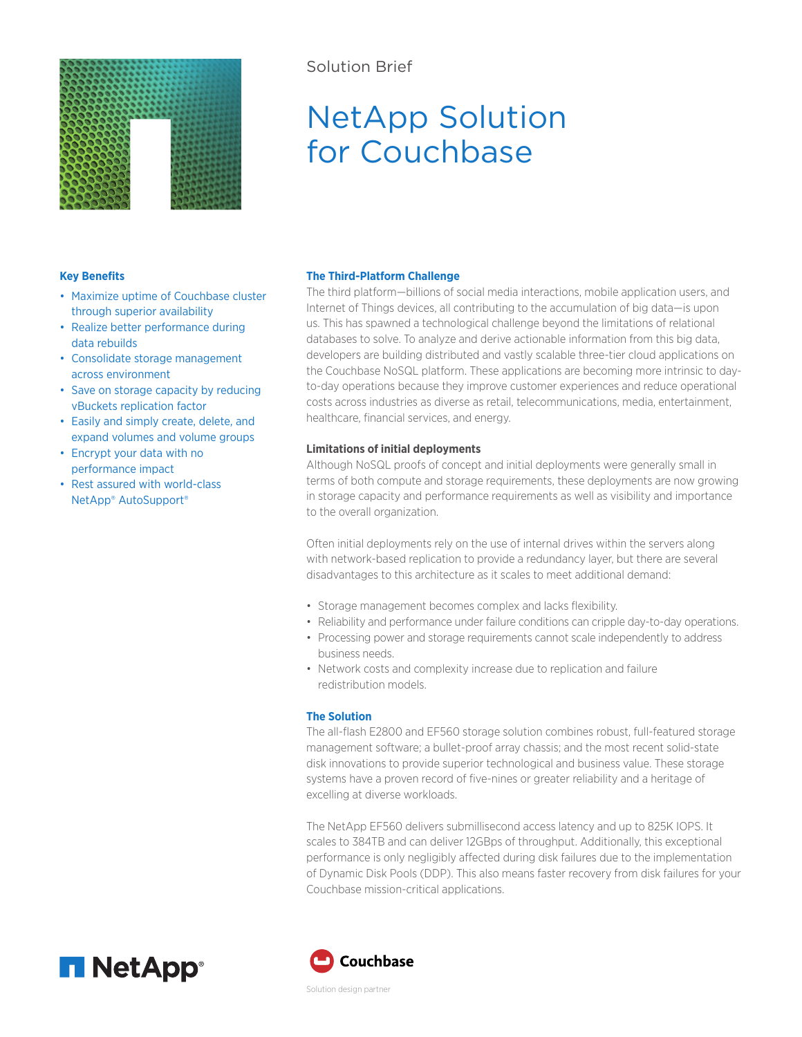

## Solution Brief

# NetApp Solution for Couchbase

### **Key Benefits**

- Maximize uptime of Couchbase cluster through superior availability
- Realize better performance during data rebuilds
- Consolidate storage management across environment
- Save on storage capacity by reducing vBuckets replication factor
- Easily and simply create, delete, and expand volumes and volume groups
- Encrypt your data with no performance impact
- Rest assured with world-class NetApp® AutoSupport®

#### **The Third-Platform Challenge**

The third platform—billions of social media interactions, mobile application users, and Internet of Things devices, all contributing to the accumulation of big data—is upon us. This has spawned a technological challenge beyond the limitations of relational databases to solve. To analyze and derive actionable information from this big data, developers are building distributed and vastly scalable three-tier cloud applications on the Couchbase NoSQL platform. These applications are becoming more intrinsic to dayto-day operations because they improve customer experiences and reduce operational costs across industries as diverse as retail, telecommunications, media, entertainment, healthcare, financial services, and energy.

### **Limitations of initial deployments**

Although NoSQL proofs of concept and initial deployments were generally small in terms of both compute and storage requirements, these deployments are now growing in storage capacity and performance requirements as well as visibility and importance to the overall organization.

Often initial deployments rely on the use of internal drives within the servers along with network-based replication to provide a redundancy layer, but there are several disadvantages to this architecture as it scales to meet additional demand:

- Storage management becomes complex and lacks flexibility.
- Reliability and performance under failure conditions can cripple day-to-day operations.
- Processing power and storage requirements cannot scale independently to address business needs.
- Network costs and complexity increase due to replication and failure redistribution models.

#### **The Solution**

The all-flash E2800 and EF560 storage solution combines robust, full-featured storage management software; a bullet-proof array chassis; and the most recent solid-state disk innovations to provide superior technological and business value. These storage systems have a proven record of five-nines or greater reliability and a heritage of excelling at diverse workloads.

The NetApp EF560 delivers submillisecond access latency and up to 825K IOPS. It scales to 384TB and can deliver 12GBps of throughput. Additionally, this exceptional performance is only negligibly affected during disk failures due to the implementation of Dynamic Disk Pools (DDP). This also means faster recovery from disk failures for your Couchbase mission-critical applications.





Solution design partner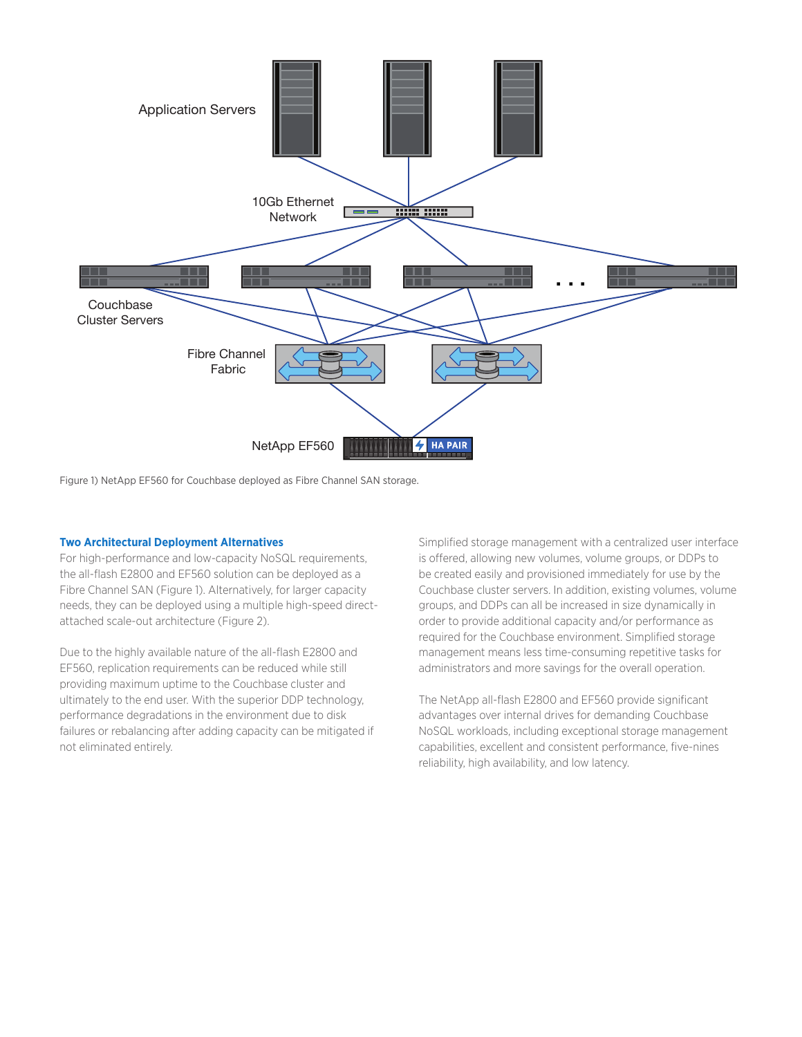

Figure 1) NetApp EF560 for Couchbase deployed as Fibre Channel SAN storage.

#### **Two Architectural Deployment Alternatives**

For high-performance and low-capacity NoSQL requirements, the all-flash E2800 and EF560 solution can be deployed as a Fibre Channel SAN (Figure 1). Alternatively, for larger capacity needs, they can be deployed using a multiple high-speed directattached scale-out architecture (Figure 2).

Due to the highly available nature of the all-flash E2800 and EF560, replication requirements can be reduced while still providing maximum uptime to the Couchbase cluster and ultimately to the end user. With the superior DDP technology, performance degradations in the environment due to disk failures or rebalancing after adding capacity can be mitigated if not eliminated entirely.

Simplified storage management with a centralized user interface is offered, allowing new volumes, volume groups, or DDPs to be created easily and provisioned immediately for use by the Couchbase cluster servers. In addition, existing volumes, volume groups, and DDPs can all be increased in size dynamically in order to provide additional capacity and/or performance as required for the Couchbase environment. Simplified storage management means less time-consuming repetitive tasks for administrators and more savings for the overall operation.

The NetApp all-flash E2800 and EF560 provide significant advantages over internal drives for demanding Couchbase NoSQL workloads, including exceptional storage management capabilities, excellent and consistent performance, five-nines reliability, high availability, and low latency.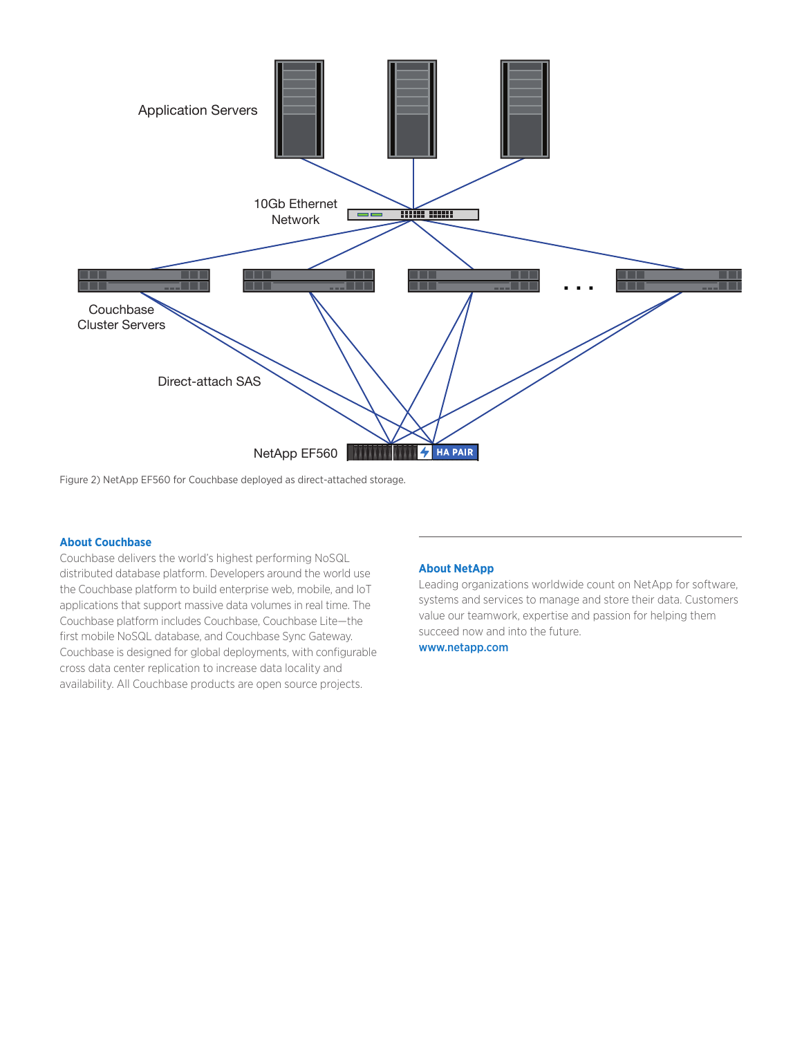

Figure 2) NetApp EF560 for Couchbase deployed as direct-attached storage.

#### **About Couchbase**

Couchbase delivers the world's highest performing NoSQL distributed database platform. Developers around the world use the Couchbase platform to build enterprise web, mobile, and IoT applications that support massive data volumes in real time. The Couchbase platform includes Couchbase, Couchbase Lite—the first mobile NoSQL database, and Couchbase Sync Gateway. Couchbase is designed for global deployments, with configurable cross data center replication to increase data locality and availability. All Couchbase products are open source projects.

#### **About NetApp**

Leading organizations worldwide count on NetApp for software, systems and services to manage and store their data. Customers value our teamwork, expertise and passion for helping them succeed now and into the future.

www.netapp.com